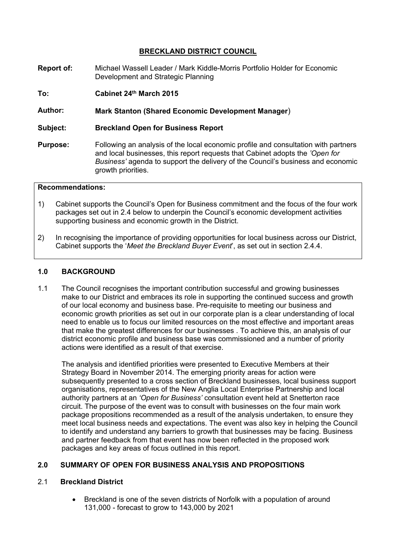# **BRECKLAND DISTRICT COUNCIL**

- **Report of:** Michael Wassell Leader / Mark Kiddle-Morris Portfolio Holder for Economic Development and Strategic Planning
- **To: Cabinet 24th March 2015**

**Author: Mark Stanton (Shared Economic Development Manager**)

- **Subject: Breckland Open for Business Report**
- **Purpose:** Following an analysis of the local economic profile and consultation with partners and local businesses, this report requests that Cabinet adopts the *'Open for Business'* agenda to support the delivery of the Council's business and economic growth priorities.

# **Recommendations:**

- 1) Cabinet supports the Council's Open for Business commitment and the focus of the four work packages set out in 2.4 below to underpin the Council's economic development activities supporting business and economic growth in the District.
- 2) In recognising the importance of providing opportunities for local business across our District, Cabinet supports the '*Meet the Breckland Buyer Event*', as set out in section 2.4.4.

#### **1.0 BACKGROUND**

1.1 The Council recognises the important contribution successful and growing businesses make to our District and embraces its role in supporting the continued success and growth of our local economy and business base. Pre-requisite to meeting our business and economic growth priorities as set out in our corporate plan is a clear understanding of local need to enable us to focus our limited resources on the most effective and important areas that make the greatest differences for our businesses . To achieve this, an analysis of our district economic profile and business base was commissioned and a number of priority actions were identified as a result of that exercise.

The analysis and identified priorities were presented to Executive Members at their Strategy Board in November 2014. The emerging priority areas for action were subsequently presented to a cross section of Breckland businesses, local business support organisations, representatives of the New Anglia Local Enterprise Partnership and local authority partners at an *'Open for Business'* consultation event held at Snetterton race circuit. The purpose of the event was to consult with businesses on the four main work package propositions recommended as a result of the analysis undertaken, to ensure they meet local business needs and expectations. The event was also key in helping the Council to identify and understand any barriers to growth that businesses may be facing. Business and partner feedback from that event has now been reflected in the proposed work packages and key areas of focus outlined in this report.

#### **2.0 SUMMARY OF OPEN FOR BUSINESS ANALYSIS AND PROPOSITIONS**

#### 2.1 **Breckland District**

 Breckland is one of the seven districts of Norfolk with a population of around 131,000 - forecast to grow to 143,000 by 2021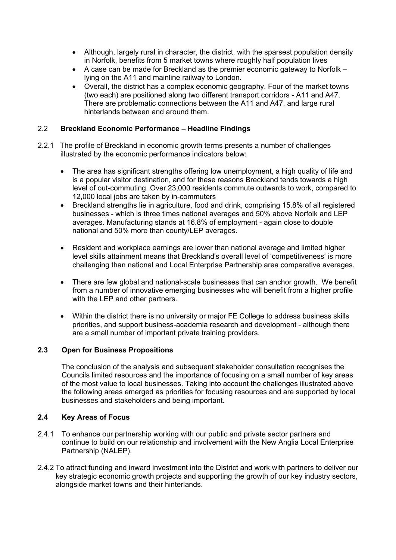- Although, largely rural in character, the district, with the sparsest population density in Norfolk, benefits from 5 market towns where roughly half population lives
- A case can be made for Breckland as the premier economic gateway to Norfolk lying on the A11 and mainline railway to London.
- Overall, the district has a complex economic geography. Four of the market towns (two each) are positioned along two different transport corridors - A11 and A47. There are problematic connections between the A11 and A47, and large rural hinterlands between and around them.

# 2.2 **Breckland Economic Performance – Headline Findings**

- 2.2.1 The profile of Breckland in economic growth terms presents a number of challenges illustrated by the economic performance indicators below:
	- The area has significant strengths offering low unemployment, a high quality of life and is a popular visitor destination, and for these reasons Breckland tends towards a high level of out-commuting. Over 23,000 residents commute outwards to work, compared to 12,000 local jobs are taken by in-commuters
	- Breckland strengths lie in agriculture, food and drink, comprising 15.8% of all registered businesses - which is three times national averages and 50% above Norfolk and LEP averages. Manufacturing stands at 16.8% of employment - again close to double national and 50% more than county/LEP averages.
	- Resident and workplace earnings are lower than national average and limited higher level skills attainment means that Breckland's overall level of 'competitiveness' is more challenging than national and Local Enterprise Partnership area comparative averages.
	- There are few global and national-scale businesses that can anchor growth. We benefit from a number of innovative emerging businesses who will benefit from a higher profile with the LEP and other partners.
	- Within the district there is no university or major FE College to address business skills priorities, and support business-academia research and development - although there are a small number of important private training providers.

### **2.3 Open for Business Propositions**

The conclusion of the analysis and subsequent stakeholder consultation recognises the Councils limited resources and the importance of focusing on a small number of key areas of the most value to local businesses. Taking into account the challenges illustrated above the following areas emerged as priorities for focusing resources and are supported by local businesses and stakeholders and being important.

### **2.4 Key Areas of Focus**

- 2.4.1 To enhance our partnership working with our public and private sector partners and continue to build on our relationship and involvement with the New Anglia Local Enterprise Partnership (NALEP).
- 2.4.2 To attract funding and inward investment into the District and work with partners to deliver our key strategic economic growth projects and supporting the growth of our key industry sectors, alongside market towns and their hinterlands.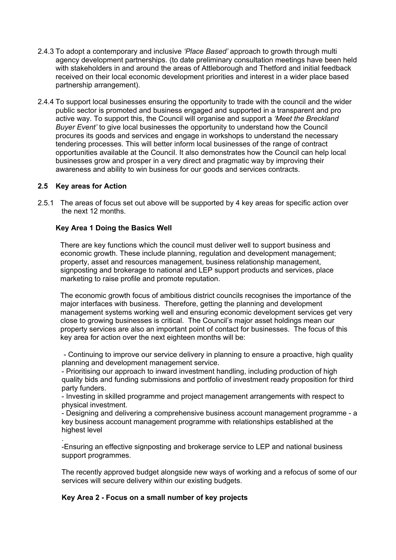- 2.4.3 To adopt a contemporary and inclusive *'Place Based'* approach to growth through multi agency development partnerships. (to date preliminary consultation meetings have been held with stakeholders in and around the areas of Attleborough and Thetford and initial feedback received on their local economic development priorities and interest in a wider place based partnership arrangement).
- 2.4.4 To support local businesses ensuring the opportunity to trade with the council and the wider public sector is promoted and business engaged and supported in a transparent and pro active way. To support this, the Council will organise and support a *'Meet the Breckland Buyer Event'* to give local businesses the opportunity to understand how the Council procures its goods and services and engage in workshops to understand the necessary tendering processes. This will better inform local businesses of the range of contract opportunities available at the Council. It also demonstrates how the Council can help local businesses grow and prosper in a very direct and pragmatic way by improving their awareness and ability to win business for our goods and services contracts.

### **2.5 Key areas for Action**

2.5.1 The areas of focus set out above will be supported by 4 key areas for specific action over the next 12 months.

### **Key Area 1 Doing the Basics Well**

There are key functions which the council must deliver well to support business and economic growth. These include planning, regulation and development management; property, asset and resources management, business relationship management, signposting and brokerage to national and LEP support products and services, place marketing to raise profile and promote reputation.

The economic growth focus of ambitious district councils recognises the importance of the major interfaces with business. Therefore, getting the planning and development management systems working well and ensuring economic development services get very close to growing businesses is critical. The Council's major asset holdings mean our property services are also an important point of contact for businesses. The focus of this key area for action over the next eighteen months will be:

- Continuing to improve our service delivery in planning to ensure a proactive, high quality planning and development management service.

- Prioritising our approach to inward investment handling, including production of high quality bids and funding submissions and portfolio of investment ready proposition for third party funders.

- Investing in skilled programme and project management arrangements with respect to physical investment.

- Designing and delivering a comprehensive business account management programme - a key business account management programme with relationships established at the highest level

. -Ensuring an effective signposting and brokerage service to LEP and national business support programmes.

The recently approved budget alongside new ways of working and a refocus of some of our services will secure delivery within our existing budgets.

### **Key Area 2 - Focus on a small number of key projects**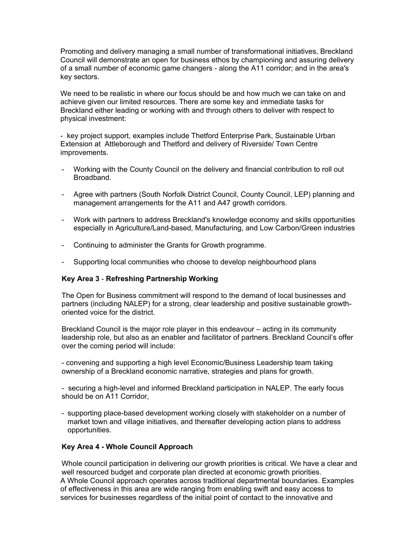Promoting and delivery managing a small number of transformational initiatives, Breckland Council will demonstrate an open for business ethos by championing and assuring delivery of a small number of economic game changers - along the A11 corridor; and in the area's key sectors.

We need to be realistic in where our focus should be and how much we can take on and achieve given our limited resources. There are some key and immediate tasks for Breckland either leading or working with and through others to deliver with respect to physical investment:

- key project support, examples include Thetford Enterprise Park, Sustainable Urban Extension at Attleborough and Thetford and delivery of Riverside/ Town Centre improvements.

- Working with the County Council on the delivery and financial contribution to roll out Broadband.
- Agree with partners (South Norfolk District Council, County Council, LEP) planning and management arrangements for the A11 and A47 growth corridors.
- Work with partners to address Breckland's knowledge economy and skills opportunities especially in Agriculture/Land-based, Manufacturing, and Low Carbon/Green industries
- Continuing to administer the Grants for Growth programme.
- Supporting local communities who choose to develop neighbourhood plans

#### **Key Area 3** - **Refreshing Partnership Working**

The Open for Business commitment will respond to the demand of local businesses and partners (including NALEP) for a strong, clear leadership and positive sustainable growthoriented voice for the district.

Breckland Council is the major role player in this endeavour – acting in its community leadership role, but also as an enabler and facilitator of partners. Breckland Council's offer over the coming period will include:

- convening and supporting a high level Economic/Business Leadership team taking ownership of a Breckland economic narrative, strategies and plans for growth.

- securing a high-level and informed Breckland participation in NALEP. The early focus should be on A11 Corridor,

- supporting place-based development working closely with stakeholder on a number of market town and village initiatives, and thereafter developing action plans to address opportunities.

#### **Key Area 4 - Whole Council Approach**

Whole council participation in delivering our growth priorities is critical. We have a clear and well resourced budget and corporate plan directed at economic growth priorities. A Whole Council approach operates across traditional departmental boundaries. Examples of effectiveness in this area are wide ranging from enabling swift and easy access to services for businesses regardless of the initial point of contact to the innovative and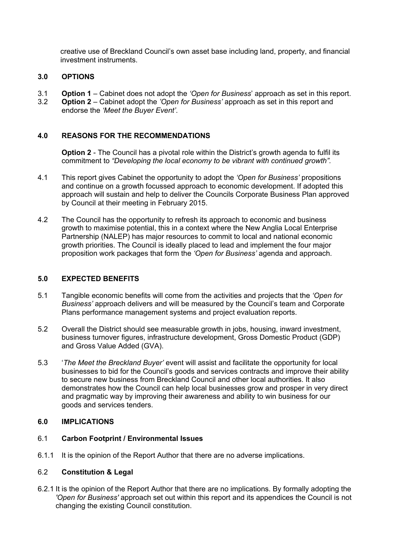creative use of Breckland Council's own asset base including land, property, and financial investment instruments.

# **3.0 OPTIONS**

- 3.1 **Option 1** Cabinet does not adopt the *'Open for Business*' approach as set in this report.
- 3.2 **Option 2** Cabinet adopt the *'Open for Business'* approach as set in this report and endorse the *'Meet the Buyer Event'*.

# **4.0 REASONS FOR THE RECOMMENDATIONS**

**Option 2** - The Council has a pivotal role within the District's growth agenda to fulfil its commitment to *"Developing the local economy to be vibrant with continued growth".*

- 4.1 This report gives Cabinet the opportunity to adopt the *'Open for Business'* propositions and continue on a growth focussed approach to economic development. If adopted this approach will sustain and help to deliver the Councils Corporate Business Plan approved by Council at their meeting in February 2015.
- 4.2 The Council has the opportunity to refresh its approach to economic and business growth to maximise potential, this in a context where the New Anglia Local Enterprise Partnership (NALEP) has major resources to commit to local and national economic growth priorities. The Council is ideally placed to lead and implement the four major proposition work packages that form the *'Open for Business'* agenda and approach.

# **5.0 EXPECTED BENEFITS**

- 5.1 Tangible economic benefits will come from the activities and projects that the *'Open for Business'* approach delivers and will be measured by the Council's team and Corporate Plans performance management systems and project evaluation reports.
- 5.2 Overall the District should see measurable growth in jobs, housing, inward investment, business turnover figures, infrastructure development, Gross Domestic Product (GDP) and Gross Value Added (GVA).
- 5.3 '*The Meet the Breckland Buyer'* event will assist and facilitate the opportunity for local businesses to bid for the Council's goods and services contracts and improve their ability to secure new business from Breckland Council and other local authorities. It also demonstrates how the Council can help local businesses grow and prosper in very direct and pragmatic way by improving their awareness and ability to win business for our goods and services tenders.

### **6.0 IMPLICATIONS**

### 6.1 **Carbon Footprint / Environmental Issues**

6.1.1 It is the opinion of the Report Author that there are no adverse implications.

### 6.2 **Constitution & Legal**

6.2.1 It is the opinion of the Report Author that there are no implications. By formally adopting the *'Open for Business'* approach set out within this report and its appendices the Council is not changing the existing Council constitution.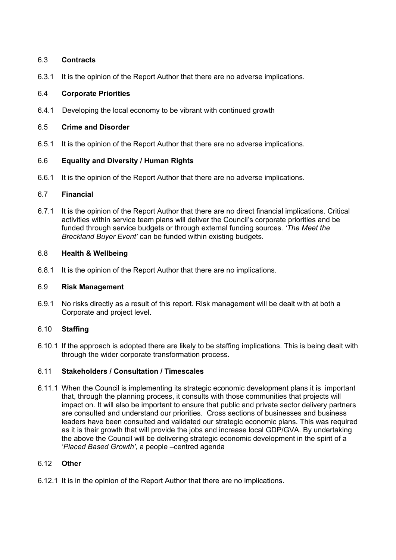# 6.3 **Contracts**

6.3.1 It is the opinion of the Report Author that there are no adverse implications.

# 6.4 **Corporate Priorities**

6.4.1 Developing the local economy to be vibrant with continued growth

# 6.5 **Crime and Disorder**

6.5.1 It is the opinion of the Report Author that there are no adverse implications.

# 6.6 **Equality and Diversity / Human Rights**

6.6.1 It is the opinion of the Report Author that there are no adverse implications.

### 6.7 **Financial**

6.7.1 It is the opinion of the Report Author that there are no direct financial implications. Critical activities within service team plans will deliver the Council's corporate priorities and be funded through service budgets or through external funding sources. *'The Meet the Breckland Buyer Event'* can be funded within existing budgets.

# 6.8 **Health & Wellbeing**

6.8.1 It is the opinion of the Report Author that there are no implications.

### 6.9 **Risk Management**

6.9.1 No risks directly as a result of this report. Risk management will be dealt with at both a Corporate and project level.

# 6.10 **Staffing**

6.10.1 If the approach is adopted there are likely to be staffing implications. This is being dealt with through the wider corporate transformation process.

### 6.11 **Stakeholders / Consultation / Timescales**

6.11.1 When the Council is implementing its strategic economic development plans it is important that, through the planning process, it consults with those communities that projects will impact on. It will also be important to ensure that public and private sector delivery partners are consulted and understand our priorities. Cross sections of businesses and business leaders have been consulted and validated our strategic economic plans. This was required as it is their growth that will provide the jobs and increase local GDP/GVA. By undertaking the above the Council will be delivering strategic economic development in the spirit of a '*Placed Based Growth'*, a people –centred agenda

# 6.12 **Other**

6.12.1 It is in the opinion of the Report Author that there are no implications.